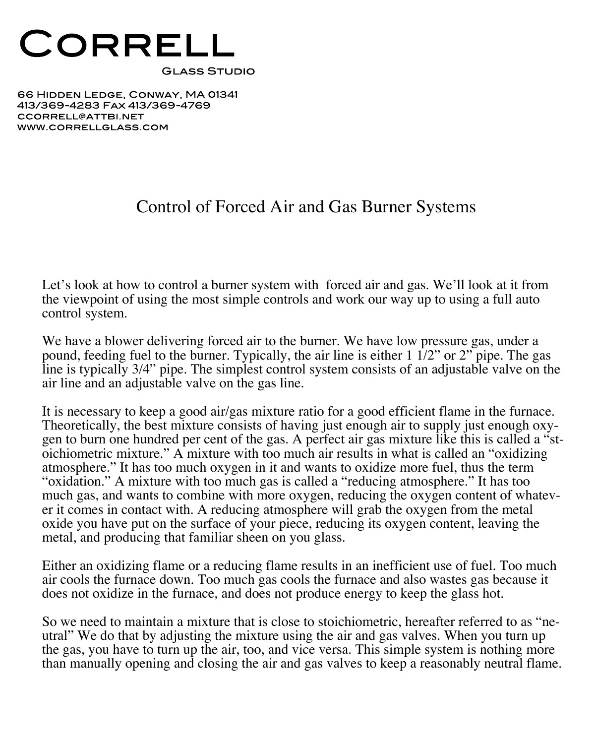

66 HIDDEN LEDGE, CONWAY, MA 01341 413/369-4283 FAX 413/369-4769 CCORRELL@ATTBI.NET WWW.CORRELLGLASS.COM

## Control of Forced Air and Gas Burner Systems

Let's look at how to control a burner system with forced air and gas. We'll look at it from the viewpoint of using the most simple controls and work our way up to using a full auto control system.

We have a blower delivering forced air to the burner. We have low pressure gas, under a pound, feeding fuel to the burner. Typically, the air line is either  $1 \frac{1}{2}$  or  $2$  pipe. The gas line is typically 3/4" pipe. The simplest control system consists of an adjustable valve on the air line and an adjustable valve on the gas line.

It is necessary to keep a good air/gas mixture ratio for a good efficient flame in the furnace.<br>Theoretically, the best mixture consists of having just enough air to supply just enough oxygen to burn one hundred per cent of the gas. A perfect air gas mixture like this is called a "st-<br>oichiometric mixture." A mixture with too much air results in what is called an "oxidizing atmosphere." It has too much oxygen in it and wants to oxidize more fuel, thus the term "oxidation." A mixture with too much gas is called a "reducing atmosphere." It has too much gas, and wants to combine with more oxygen, reducing the oxygen content of whatev- er it comes in contact with. <sup>A</sup> reducing atmosphere will grab the oxygen from the metal oxide you have put on the surface of your piece, reducing its oxygen content, leaving the metal, and producing that familiar sheen on you glass.

Either an oxidizing flame or a reducing flame results in an inefficient use of fuel. Too much air cools the furnace down. Too much gas cools the furnace and also wastes gas because it does not oxidize in the furnace, and does not produce energy to keep the glass hot.

So we need to maintain a mixture that is close to stoichiometric, hereafter referred to as "ne-<br>utral" We do that by adjusting the mixture using the air and gas valves. When you turn up the gas, you have to turn up the air, too, and vice versa. This simple system is nothing more than manually opening and closing the air and gas valves to keep a reasonably neutral flame.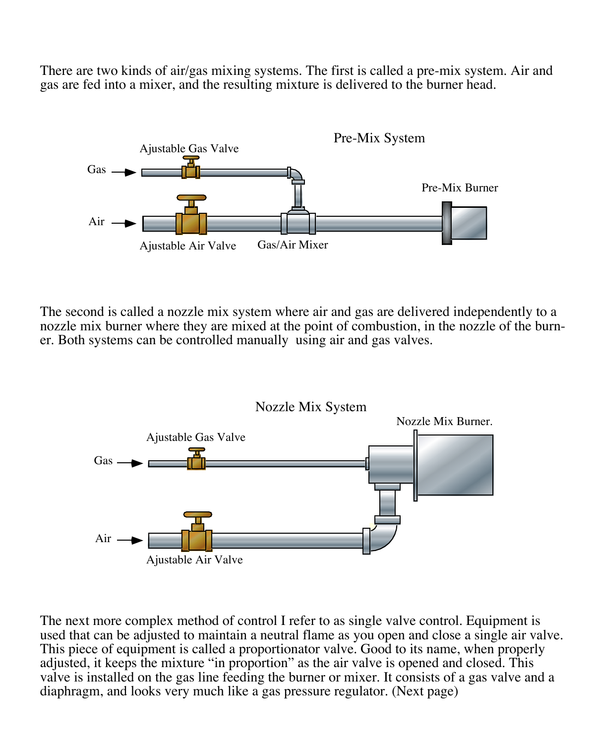There are two kinds of air/gas mixing systems. The first is called a pre-mix system. Air and gas are fed into a mixer, and the resulting mixture is delivered to the burner head.



The second is called a nozzle mix system where air and gas are delivered independently to a nozzle mix burner where they are mixed at the point of combustion, in the nozzle of the burn er. Both systems can be controlled manually using air and gas valves.



The next more complex method of control I refer to as single valve control. Equipment is used that can be adjusted to maintain a neutral flame as you open and close a single air valve. This piece of equipment is called a proportionator valve. Good to its name, when properly adjusted, it keeps the mixture "in proportion" as the air valve is opened and closed. This valve is installed on the gas line feeding the burner or mixer. It consists of a gas valve and a diaphragm, and looks very much like a gas pressure regulator. (Next page)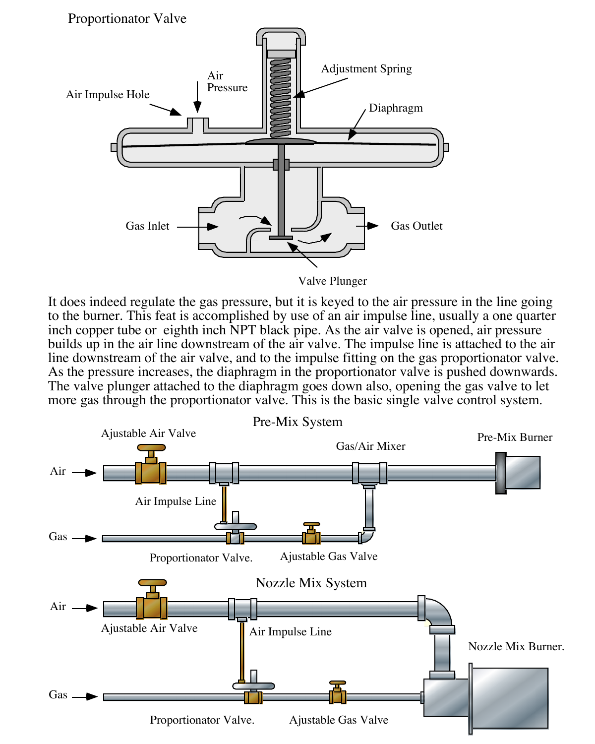Proportionator Valve



Valve Plunger

It does indeed regulate the gas pressure, but it is keyed to the air pressure in the line going to the burner. This feat is accomplished by use of an air impulse line, usually a one quarter inch copper tube or eighth inch NPT black pipe. As the air valve is opened, air pressure builds up in the air line downstream of the air valve. The impulse line is attached to the air line downstream of the air valve, and to the impulse fitting on the gas proportionator valve. As the pressure increases, the diaphragm in the proportionator valve is pushed downwards. The valve plunger attached to the diaphragm goes down also, opening the gas valve to let more gas through the proportionator valve. This is the basic single valve control system.

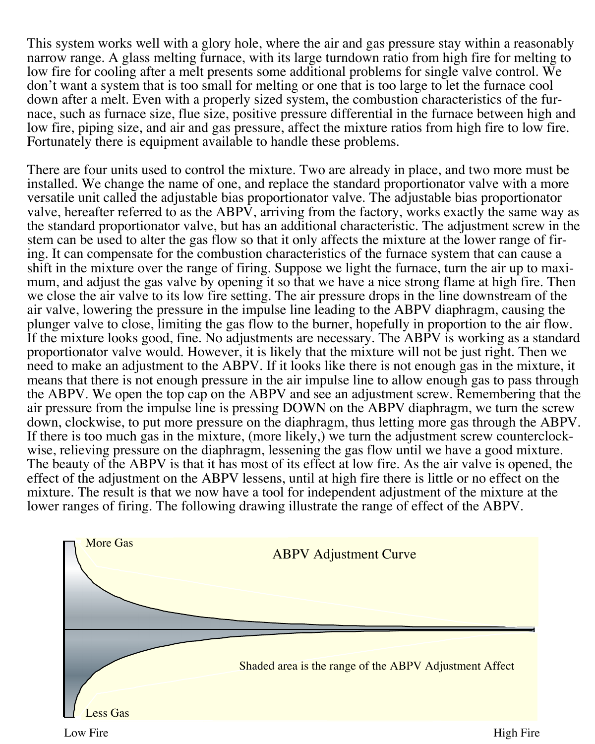This system works well with a glory hole, where the air and gas pressure stay within a reasonably narrow range. A glass melting furnace, with its large turndown ratio from high fire for melting to low fire for cooling after a melt presents some additional problems for single valve control. We don't want a system that is too small for melting or one that is too large to let the furnace cool down after a melt. Even with a properly sized system, the combustion characteristics of the furnace, such as furnace size, flue size, positive pressure differential in the furnace between high and low fire, piping size, and air and gas pressure, affect the mixture ratios from high fire to low fire. Fortunately there is equipment available to handle these problems.

There are four units used to control the mixture. Two are already in place, and two more must be installed. We change the name of one, and replace the standard proportionator valve with a more versatile unit called the adjustable bias proportionator valve. The adjustable bias proportionator valve, hereafter referred to as the ABPV, arriving from the factory, works exactly the same way as the standard proportionator valve, but has an additional characteristic. The adjustment screw in the stem can be used to alter the gas flow so that it only affects the mixture at the lower range of firing. It can compensate for the combustion characteristics of the furnace system that can cause a shift in the mixture over the range of firing. Suppose we light the furnace, turn the air up to maximum, and adjust the gas valve by opening it so that we have a nice strong flame at high fire. Then we close the air valve to its low fire setting. The air pressure drops in the line downstream of the air valve, lowering the pressure in the impulse line leading to the ABPV diaphragm, causing the plunger valve to close, limiting the gas flow to the burner, hopefully in proportion to the air flow. If the mixture looks good, fine. No adjustments are necessary. The ABPV is working as a standard proportionator valve would. However, it is likely that the mixture will not be just right. Then we need to make an adjustment to the ABPV. If it looks like there is not enough gas in the mixture, it means that there is not enough pressure in the air impulse line to allow enough gas to pass through the ABPV. We open the top cap on the ABPV and see an adjustment screw. Remembering that the air pressure from the impulse line is pressing DOWN on the ABPV diaphragm, we turn the screw down, clockwise, to put more pressure on the diaphragm, thus letting more gas through the ABPV. If there is too much gas in the mixture, (more likely,) we turn the adjustment screw counterclock- wise, relieving pressure on the diaphragm, lessening the gas flow until we have <sup>a</sup> good mixture. The beauty of the ABPV is that it has most of its effect at low fire. As the air valve is opened, the effect of the adjustment on the ABPV lessens, until at high fire there is little or no effect on the mixture. The result is that we now have a tool for independent adjustment of the mixture at the lower ranges of firing. The following drawing illustrate the range of effect of the ABPV.

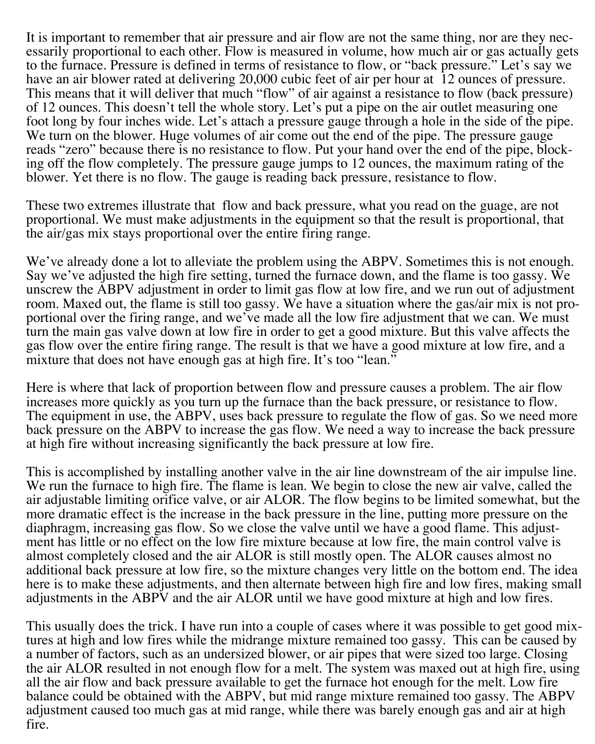It is important to remember that air pressure and air flow are not the same thing, nor are they nec- essarily proportional to each other. Flow is measured in volume, how much air or gas actually gets to the furnace. Pressure is defined in terms of resistance to flow, or "back pressure." Let's say we have an air blower rated at delivering 20,000 cubic feet of air per hour at <sup>12</sup> ounces of pressure. This means that it will deliver that much "flow" of air against <sup>a</sup> resistance to flow (back pressure) of 12 ounces. This doesn't tell the whole story. Let's put a pipe on the air outlet measuring one foot long by four inches wide. Let's attach <sup>a</sup> pressure gauge through <sup>a</sup> hole in the side of the pipe. We turn on the blower. Huge volumes of air come out the end of the pipe. The pressure gauge reads "zero" because there is no resistance to flow. Put your hand over the end of the pipe, blocking off the flow completely. The pressure gauge jumps to 12 ounces, the maximum rating of the blower. Yet there is no flow. The gauge is reading back pressure, resistance to flow.

These two extremes illustrate that flow and back pressure, what you read on the guage, are not proportional. We must make adjustments in the equipment so that the result is proportional, that the air/gas mix stays proportional over the entire firing range.

We've already done a lot to alleviate the problem using the ABPV. Sometimes this is not enough.<br>Say we've adjusted the high fire setting, turned the furnace down, and the flame is too gassy. We unscrew the ABPV adjustment in order to limit gas flow at low fire, and we run out of adjustment room. Maxed out, the flame is still too gassy. We have a situation where the gas/air mix is not pro-<br>portional over the firing range, and we've made all the low fire adjustment that we can. We must turn the main gas valve down at low fire in order to get a good mixture. But this valve affects the gas flow over the entire firing range. The result is that we have a good mixture at low fire, and a mixture that does not have enough gas at high fire. It's too "lean."

Here is where that lack of proportion between flow and pressure causes a problem. The air flow increases more quickly as you turn up the furnace than the back pressure, or resistance to flow. The equipment in use, the ABPV, uses back pressure to regulate the flow of gas. So we need more back pressure on the ABPV to increase the gas flow. We need a way to increase the back pressure at high fire without increasing significantly the back pressure at low fire.

This is accomplished by installing another valve in the air line downstream of the air impulse line. We run the furnace to high fire. The flame is lean. We begin to close the new air valve, called the air adjustable limiting orifice valve, or air ALOR. The flow begins to be limited somewhat, but the more dramatic effect is the increase in the back pressure in the line, putting more pressure on the diaphragm, increasing gas flow. So we close the valve until we have <sup>a</sup> good flame. This adjust- ment has little or no effect on the low fire mixture because at low fire, the main control valve is almost completely closed and the air ALOR is still mostly open. The ALOR causes almost no additional back pressure at low fire, so the mixture changes very little on the bottom end. The idea here is to make these adjustments, and then alternate between high fire and low fires, making small adjustments in the ABPV and the air ALOR until we have good mixture at high and low fires.

This usually does the trick. I have run into a couple of cases where it was possible to get good mixtures at high and low fires while the midrange mixture remained too gassy. This can be caused by a number of factors, such as an undersized blower, or air pipes that were sized too large. Closing the air ALOR resulted in not enough flow for a melt. The system was maxed out at high fire, using all the air flow and back pressure available to get the furnace hot enough for the melt. Low fire balance could be obtained with the ABPV, but mid range mixture remained too gassy. The ABPV adjustment caused too much gas at mid range, while there was barely enough gas and air at high fire.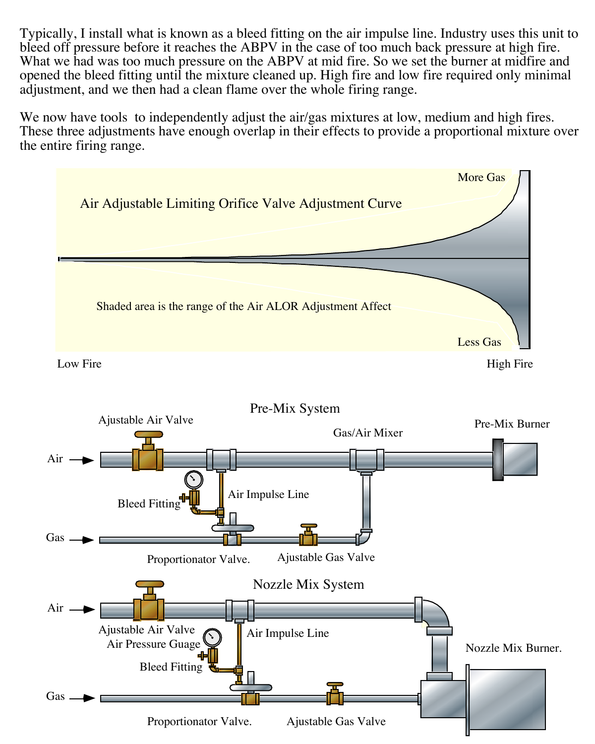Typically, I install what is known as a bleed fitting on the air impulse line. Industry uses this unit to What we had was too much pressure on the ABPV at mid fire. So we set the burner at midfire and opened the bleed fitting until the mixture cleaned up. High fire and low fire required only minimal adjustment, and we then had a clean flame over the whole firing range.

We now have tools to independently adjust the air/gas mixtures at low, medium and high fires.<br>These three adjustments have enough overlap in their effects to provide a proportional mixture over the entire firing range.